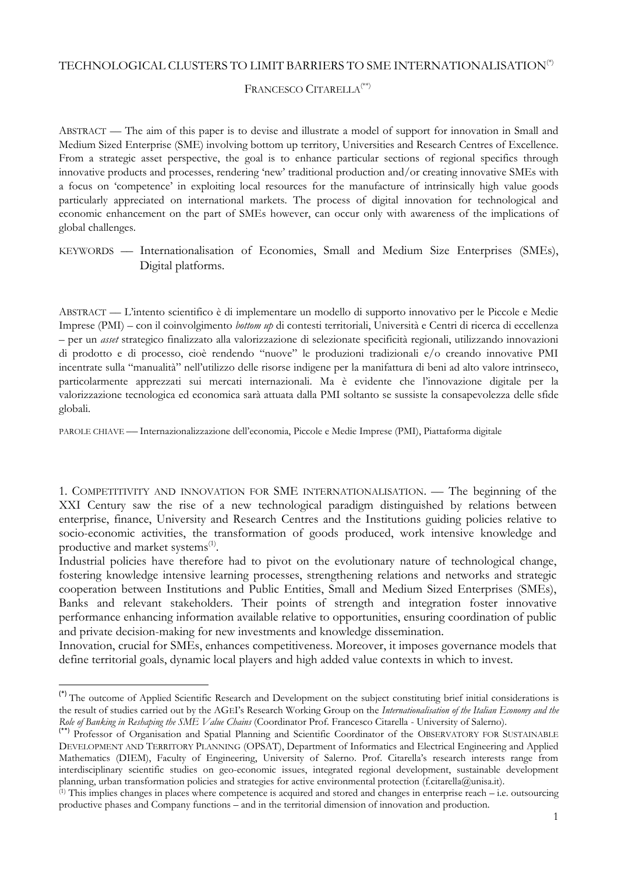### TECHNOLOGICAL CLUSTERS TO LIMIT BARRIERS TO SME INTERNATIONALISATION(\*)

# FRANCESCO CITARELLA(\*\*)

ABSTRACT –– The aim of this paper is to devise and illustrate a model of support for innovation in Small and Medium Sized Enterprise (SME) involving bottom up territory, Universities and Research Centres of Excellence. From a strategic asset perspective, the goal is to enhance particular sections of regional specifics through innovative products and processes, rendering 'new' traditional production and/or creating innovative SMEs with a focus on 'competence' in exploiting local resources for the manufacture of intrinsically high value goods particularly appreciated on international markets. The process of digital innovation for technological and economic enhancement on the part of SMEs however, can occur only with awareness of the implications of global challenges.

KEYWORDS –– Internationalisation of Economies, Small and Medium Size Enterprises (SMEs), Digital platforms.

ABSTRACT –– L'intento scientifico è di implementare un modello di supporto innovativo per le Piccole e Medie Imprese (PMI) – con il coinvolgimento *bottom up* di contesti territoriali, Università e Centri di ricerca di eccellenza – per un *asset* strategico finalizzato alla valorizzazione di selezionate specificità regionali, utilizzando innovazioni di prodotto e di processo, cioè rendendo "nuove" le produzioni tradizionali e/o creando innovative PMI incentrate sulla "manualità" nell'utilizzo delle risorse indigene per la manifattura di beni ad alto valore intrinseco, particolarmente apprezzati sui mercati internazionali. Ma è evidente che l'innovazione digitale per la valorizzazione tecnologica ed economica sarà attuata dalla PMI soltanto se sussiste la consapevolezza delle sfide globali.

PAROLE CHIAVE –– Internazionalizzazione dell'economia, Piccole e Medie Imprese (PMI), Piattaforma digitale

1. COMPETITIVITY AND INNOVATION FOR SME INTERNATIONALISATION. –– The beginning of the XXI Century saw the rise of a new technological paradigm distinguished by relations between enterprise, finance, University and Research Centres and the Institutions guiding policies relative to socio-economic activities, the transformation of goods produced, work intensive knowledge and productive and market systems<sup>(1)</sup>.

Industrial policies have therefore had to pivot on the evolutionary nature of technological change, fostering knowledge intensive learning processes, strengthening relations and networks and strategic cooperation between Institutions and Public Entities, Small and Medium Sized Enterprises (SMEs), Banks and relevant stakeholders. Their points of strength and integration foster innovative performance enhancing information available relative to opportunities, ensuring coordination of public and private decision-making for new investments and knowledge dissemination.

Innovation, crucial for SMEs, enhances competitiveness. Moreover, it imposes governance models that define territorial goals, dynamic local players and high added value contexts in which to invest.

**.** 

<sup>(\*)</sup> The outcome of Applied Scientific Research and Development on the subject constituting brief initial considerations is the result of studies carried out by the AGEI's Research Working Group on the *Internationalisation of the Italian Economy and the Role of Banking in Reshaping the SME Value Chains* (Coordinator Prof. Francesco Citarella - University of Salerno).

<sup>(\*\*)</sup> Professor of Organisation and Spatial Planning and Scientific Coordinator of the OBSERVATORY FOR SUSTAINABLE DEVELOPMENT AND TERRITORY PLANNING (OPSAT), Department of Informatics and Electrical Engineering and Applied Mathematics (DIEM), Faculty of Engineering, University of Salerno. Prof. Citarella's research interests range from interdisciplinary scientific studies on geo-economic issues, integrated regional development, sustainable development planning, urban transformation policies and strategies for active environmental protection (f.citarella@unisa.it).

 $(1)$  This implies changes in places where competence is acquired and stored and changes in enterprise reach – i.e. outsourcing productive phases and Company functions – and in the territorial dimension of innovation and production.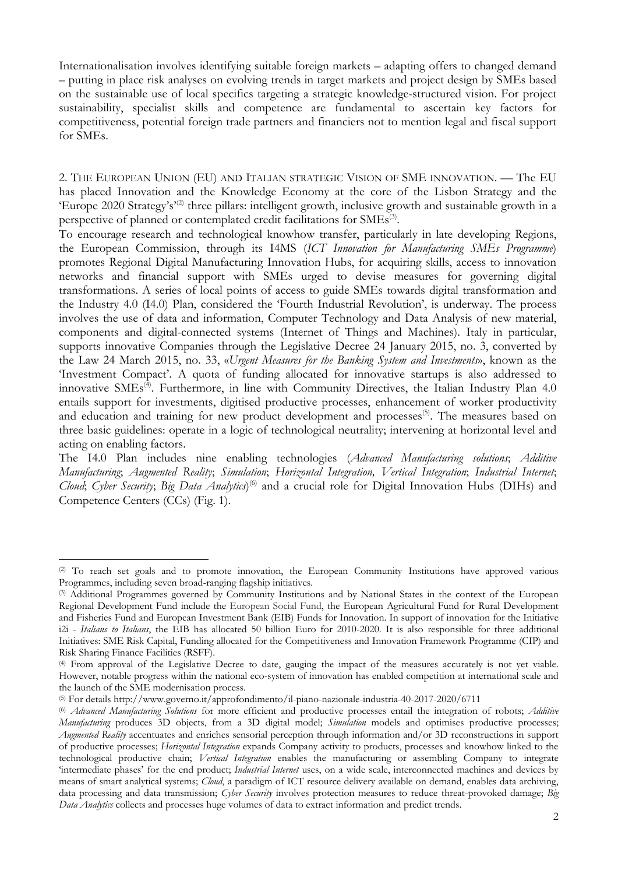Internationalisation involves identifying suitable foreign markets – adapting offers to changed demand – putting in place risk analyses on evolving trends in target markets and project design by SMEs based on the sustainable use of local specifics targeting a strategic knowledge-structured vision. For project sustainability, specialist skills and competence are fundamental to ascertain key factors for competitiveness, potential foreign trade partners and financiers not to mention legal and fiscal support for SMEs.

2. THE EUROPEAN UNION (EU) AND ITALIAN STRATEGIC VISION OF SME INNOVATION. –– The EU has placed Innovation and the Knowledge Economy at the core of the Lisbon Strategy and the 'Europe 2020 Strategy's<sup>'(2)</sup> three pillars: intelligent growth, inclusive growth and sustainable growth in a perspective of planned or contemplated credit facilitations for SMEs<sup>(3)</sup>.

To encourage research and technological knowhow transfer, particularly in late developing Regions, the European Commission, through its I4MS (*ICT Innovation for Manufacturing SMEs Programme*) promotes Regional Digital Manufacturing Innovation Hubs, for acquiring skills, access to innovation networks and financial support with SMEs urged to devise measures for governing digital transformations. A series of local points of access to guide SMEs towards digital transformation and the Industry 4.0 (I4.0) Plan, considered the 'Fourth Industrial Revolution', is underway. The process involves the use of data and information, Computer Technology and Data Analysis of new material, components and digital-connected systems (Internet of Things and Machines). Italy in particular, supports innovative Companies through the Legislative Decree 24 January 2015, no. 3, converted by the Law 24 March 2015, no. 33, «*Urgent Measures for the Banking System and Investments*», known as the 'Investment Compact'. A quota of funding allocated for innovative startups is also addressed to innovative SMEs<sup>(4)</sup>. Furthermore, in line with Community Directives, the Italian Industry Plan 4.0 entails support for investments, digitised productive processes, enhancement of worker productivity and education and training for new product development and processes<sup>(5)</sup>. The measures based on three basic guidelines: operate in a logic of technological neutrality; intervening at horizontal level and acting on enabling factors.

The I4.0 Plan includes nine enabling technologies (*Advanced Manufacturing solutions*; *Additive Manufacturing*; *Augmented Reality*; *Simulation*; *Horizontal Integration, Vertical Integration*; *Industrial Internet*; Cloud; Cyber Security; Big Data Analytics)<sup>(6)</sup> and a crucial role for Digital Innovation Hubs (DIHs) and Competence Centers (CCs) (Fig. 1).

**.** 

<sup>(2)</sup> To reach set goals and to promote innovation, the European Community Institutions have approved various Programmes, including seven broad-ranging flagship initiatives.

<sup>(3)</sup> Additional Programmes governed by Community Institutions and by National States in the context of the European Regional Development Fund include the European Social Fund, the European Agricultural Fund for Rural Development and Fisheries Fund and European Investment Bank (EIB) Funds for Innovation. In support of innovation for the Initiative i2i - *Italians to Italians*, the EIB has allocated 50 billion Euro for 2010-2020. It is also responsible for three additional Initiatives: SME Risk Capital, Funding allocated for the Competitiveness and Innovation Framework Programme (CIP) and Risk Sharing Finance Facilities (RSFF).

<sup>(4)</sup> From approval of the Legislative Decree to date, gauging the impact of the measures accurately is not yet viable. However, notable progress within the national eco-system of innovation has enabled competition at international scale and the launch of the SME modernisation process.

<sup>(5)</sup> For details http://www.governo.it/approfondimento/il-piano-nazionale-industria-40-2017-2020/6711

<sup>(6)</sup> *Advanced Manufacturing Solutions* for more efficient and productive processes entail the integration of robots; *Additive Manufacturing* produces 3D objects, from a 3D digital model; *Simulation* models and optimises productive processes; *Augmented Reality* accentuates and enriches sensorial perception through information and/or 3D reconstructions in support of productive processes; *Horizontal Integration* expands Company activity to products, processes and knowhow linked to the technological productive chain; *Vertical Integration* enables the manufacturing or assembling Company to integrate 'intermediate phases' for the end product; *Industrial Internet* uses, on a wide scale, interconnected machines and devices by means of smart analytical systems; *Cloud*, a paradigm of ICT resource delivery available on demand, enables data archiving, data processing and data transmission; *Cyber Security* involves protection measures to reduce threat-provoked damage; *Big Data Analytics* collects and processes huge volumes of data to extract information and predict trends.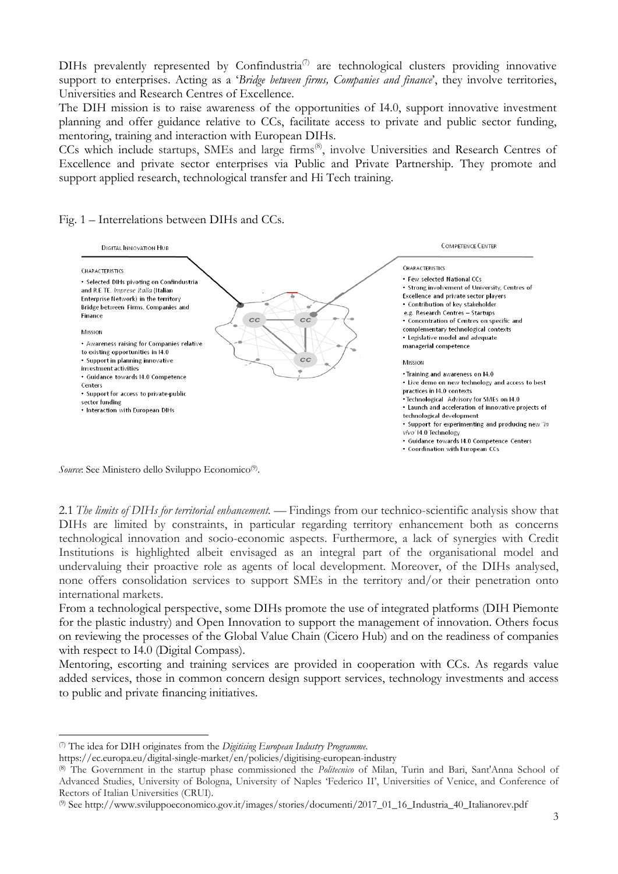DIHs prevalently represented by Confindustria<sup>(7)</sup> are technological clusters providing innovative support to enterprises. Acting as a '*Bridge between firms, Companies and finance*', they involve territories, Universities and Research Centres of Excellence.

The DIH mission is to raise awareness of the opportunities of I4.0, support innovative investment planning and offer guidance relative to CCs, facilitate access to private and public sector funding, mentoring, training and interaction with European DIHs.

CCs which include startups, SMEs and large firms<sup>(8)</sup>, involve Universities and Research Centres of Excellence and private sector enterprises via Public and Private Partnership. They promote and support applied research, technological transfer and Hi Tech training.

#### Fig. 1 *–* Interrelations between DIHs and CCs.



Source: See Ministero dello Sviluppo Economico<sup>(9)</sup>.

1

2.1 *The limits of DIHs for territorial enhancement.* –– Findings from our technico-scientific analysis show that DIHs are limited by constraints, in particular regarding territory enhancement both as concerns technological innovation and socio-economic aspects. Furthermore, a lack of synergies with Credit Institutions is highlighted albeit envisaged as an integral part of the organisational model and undervaluing their proactive role as agents of local development. Moreover, of the DIHs analysed, none offers consolidation services to support SMEs in the territory and/or their penetration onto international markets.

From a technological perspective, some DIHs promote the use of integrated platforms (DIH Piemonte for the plastic industry) and Open Innovation to support the management of innovation. Others focus on reviewing the processes of the Global Value Chain (Cicero Hub) and on the readiness of companies with respect to I4.0 (Digital Compass).

Mentoring, escorting and training services are provided in cooperation with CCs. As regards value added services, those in common concern design support services, technology investments and access to public and private financing initiatives.

<sup>(7)</sup> The idea for DIH originates from the *Digitising European Industry Programme*.

https://ec.europa.eu/digital-single-market/en/policies/digitising-european-industry

<sup>(8)</sup> The Government in the startup phase commissioned the *Politecnico* of Milan, Turin and Bari, Sant'Anna School of Advanced Studies, University of Bologna, University of Naples 'Federico II', Universities of Venice, and Conference of Rectors of Italian Universities (CRUI).

<sup>(9)</sup> See http://www.sviluppoeconomico.gov.it/images/stories/documenti/2017\_01\_16\_Industria\_40\_Italianorev.pdf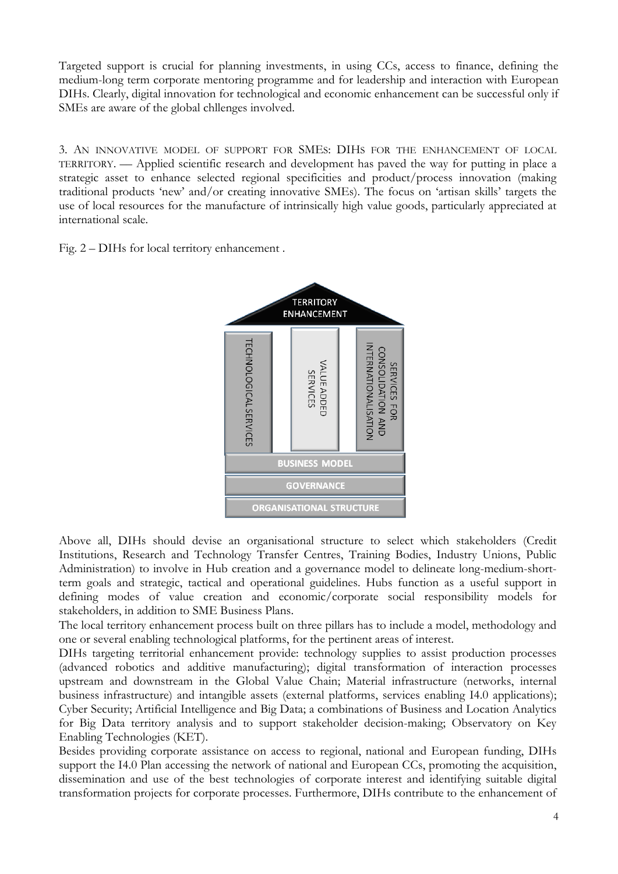Targeted support is crucial for planning investments, in using CCs, access to finance, defining the medium-long term corporate mentoring programme and for leadership and interaction with European DIHs. Clearly, digital innovation for technological and economic enhancement can be successful only if SMEs are aware of the global chllenges involved.

3. AN INNOVATIVE MODEL OF SUPPORT FOR SMES: DIHS FOR THE ENHANCEMENT OF LOCAL TERRITORY. –– Applied scientific research and development has paved the way for putting in place a strategic asset to enhance selected regional specificities and product/process innovation (making traditional products 'new' and/or creating innovative SMEs). The focus on 'artisan skills' targets the use of local resources for the manufacture of intrinsically high value goods, particularly appreciated at international scale.

Fig. 2 – DIHs for local territory enhancement .



Above all, DIHs should devise an organisational structure to select which stakeholders (Credit Institutions, Research and Technology Transfer Centres, Training Bodies, Industry Unions, Public Administration) to involve in Hub creation and a governance model to delineate long-medium-shortterm goals and strategic, tactical and operational guidelines. Hubs function as a useful support in defining modes of value creation and economic/corporate social responsibility models for stakeholders, in addition to SME Business Plans.

The local territory enhancement process built on three pillars has to include a model, methodology and one or several enabling technological platforms, for the pertinent areas of interest.

DIHs targeting territorial enhancement provide: technology supplies to assist production processes (advanced robotics and additive manufacturing); digital transformation of interaction processes upstream and downstream in the Global Value Chain; Material infrastructure (networks, internal business infrastructure) and intangible assets (external platforms, services enabling I4.0 applications); Cyber Security; Artificial Intelligence and Big Data; a combinations of Business and Location Analytics for Big Data territory analysis and to support stakeholder decision-making; Observatory on Key Enabling Technologies (KET).

Besides providing corporate assistance on access to regional, national and European funding, DIHs support the I4.0 Plan accessing the network of national and European CCs, promoting the acquisition, dissemination and use of the best technologies of corporate interest and identifying suitable digital transformation projects for corporate processes. Furthermore, DIHs contribute to the enhancement of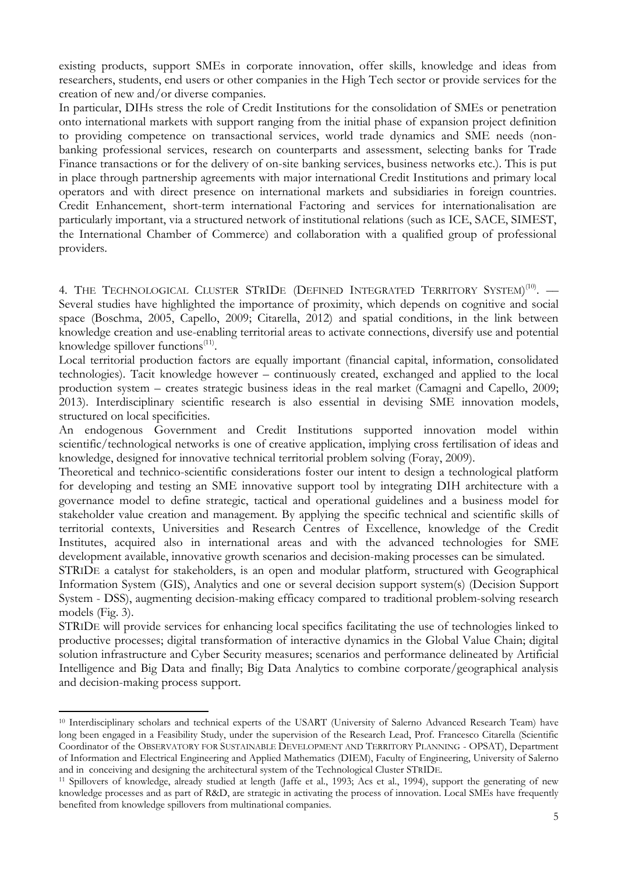existing products, support SMEs in corporate innovation, offer skills, knowledge and ideas from researchers, students, end users or other companies in the High Tech sector or provide services for the creation of new and/or diverse companies.

In particular, DIHs stress the role of Credit Institutions for the consolidation of SMEs or penetration onto international markets with support ranging from the initial phase of expansion project definition to providing competence on transactional services, world trade dynamics and SME needs (nonbanking professional services, research on counterparts and assessment, selecting banks for Trade Finance transactions or for the delivery of on-site banking services, business networks etc.). This is put in place through partnership agreements with major international Credit Institutions and primary local operators and with direct presence on international markets and subsidiaries in foreign countries. Credit Enhancement, short-term international Factoring and services for internationalisation are particularly important, via a structured network of institutional relations (such as ICE, SACE, SIMEST, the International Chamber of Commerce) and collaboration with a qualified group of professional providers.

4. THE TECHNOLOGICAL CLUSTER STRIDE (DEFINED INTEGRATED TERRITORY SYSTEM)<sup>(10)</sup>. — Several studies have highlighted the importance of proximity, which depends on cognitive and social space (Boschma, 2005, Capello, 2009; Citarella, 2012) and spatial conditions, in the link between knowledge creation and use-enabling territorial areas to activate connections, diversify use and potential knowledge spillover functions<sup>(11)</sup>.

Local territorial production factors are equally important (financial capital, information, consolidated technologies). Tacit knowledge however – continuously created, exchanged and applied to the local production system – creates strategic business ideas in the real market (Camagni and Capello, 2009; 2013). Interdisciplinary scientific research is also essential in devising SME innovation models, structured on local specificities.

An endogenous Government and Credit Institutions supported innovation model within scientific/technological networks is one of creative application, implying cross fertilisation of ideas and knowledge, designed for innovative technical territorial problem solving (Foray, 2009).

Theoretical and technico-scientific considerations foster our intent to design a technological platform for developing and testing an SME innovative support tool by integrating DIH architecture with a governance model to define strategic, tactical and operational guidelines and a business model for stakeholder value creation and management. By applying the specific technical and scientific skills of territorial contexts, Universities and Research Centres of Excellence, knowledge of the Credit Institutes, acquired also in international areas and with the advanced technologies for SME development available, innovative growth scenarios and decision-making processes can be simulated.

STRIDE a catalyst for stakeholders, is an open and modular platform, structured with Geographical Information System (GIS), Analytics and one or several decision support system(s) (Decision Support System - DSS), augmenting decision-making efficacy compared to traditional problem-solving research models (Fig. 3).

STRIDE will provide services for enhancing local specifics facilitating the use of technologies linked to productive processes; digital transformation of interactive dynamics in the Global Value Chain; digital solution infrastructure and Cyber Security measures; scenarios and performance delineated by Artificial Intelligence and Big Data and finally; Big Data Analytics to combine corporate/geographical analysis and decision-making process support.

1

<sup>10</sup> Interdisciplinary scholars and technical experts of the USART (University of Salerno Advanced Research Team) have long been engaged in a Feasibility Study, under the supervision of the Research Lead, Prof. Francesco Citarella (Scientific Coordinator of the OBSERVATORY FOR SUSTAINABLE DEVELOPMENT AND TERRITORY PLANNING - OPSAT), Department of Information and Electrical Engineering and Applied Mathematics (DIEM), Faculty of Engineering, University of Salerno and in conceiving and designing the architectural system of the Technological Cluster STRIDE.

<sup>11</sup> Spillovers of knowledge, already studied at length (Jaffe et al., 1993; Acs et al., 1994), support the generating of new knowledge processes and as part of R&D, are strategic in activating the process of innovation. Local SMEs have frequently benefited from knowledge spillovers from multinational companies.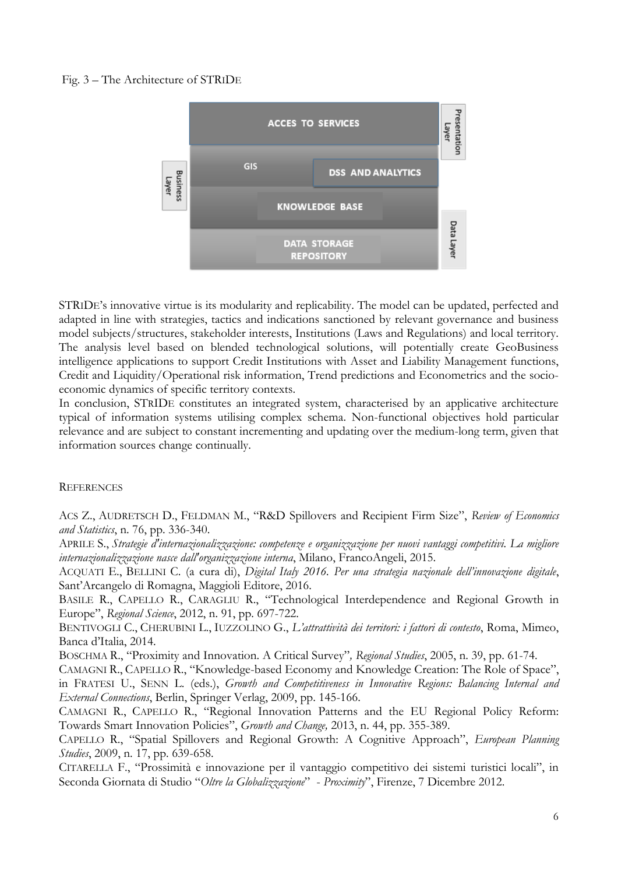# Fig. 3 – The Architecture of STRIDE



STRIDE's innovative virtue is its modularity and replicability. The model can be updated, perfected and adapted in line with strategies, tactics and indications sanctioned by relevant governance and business model subjects/structures, stakeholder interests, Institutions (Laws and Regulations) and local territory. The analysis level based on blended technological solutions, will potentially create GeoBusiness intelligence applications to support Credit Institutions with Asset and Liability Management functions, Credit and Liquidity/Operational risk information, Trend predictions and Econometrics and the socioeconomic dynamics of specific territory contexts.

In conclusion, STRIDE constitutes an integrated system, characterised by an applicative architecture typical of information systems utilising complex schema. Non-functional objectives hold particular relevance and are subject to constant incrementing and updating over the medium-long term, given that information sources change continually.

### **REFERENCES**

ACS Z., AUDRETSCH D., FELDMAN M., "R&D Spillovers and Recipient Firm Size", *Review of Economics and Statistics*, n. 76, pp. 336-340.

APRILE S., *Strategie d'internazionalizzazione: competenze e organizzazione per nuovi vantaggi competitivi. La migliore internazionalizzazione nasce dall'organizzazione interna*, Milano, FrancoAngeli, 2015.

ACQUATI E., BELLINI C. (a cura di), *Digital Italy 2016. Per una strategia nazionale dell'innovazione digitale*, Sant'Arcangelo di Romagna, Maggioli Editore, 2016.

BASILE R., CAPELLO R., CARAGLIU R., "Technological Interdependence and Regional Growth in Europe", *Regional Science*, 2012, n. 91, pp. 697-722.

BENTIVOGLI C., CHERUBINI L., IUZZOLINO G., *L'attrattività dei territori: i fattori di contesto*, Roma, Mimeo, Banca d'Italia, 2014.

BOSCHMA R., "Proximity and Innovation. A Critical Survey"*, Regional Studies*, 2005, n. 39, pp. 61-74.

CAMAGNI R., CAPELLO R., "Knowledge-based Economy and Knowledge Creation: The Role of Space", in FRATESI U., SENN L. (eds.), *Growth and Competitiveness in Innovative Regions: Balancing Internal and External Connections*, Berlin, Springer Verlag, 2009, pp. 145-166.

CAMAGNI R., CAPELLO R., "Regional Innovation Patterns and the EU Regional Policy Reform: Towards Smart Innovation Policies", *Growth and Change,* 2013, n. 44, pp. 355-389.

CAPELLO R., "Spatial Spillovers and Regional Growth: A Cognitive Approach", *European Planning Studies*, 2009, n. 17, pp. 639-658.

CITARELLA F., "Prossimità e innovazione per il vantaggio competitivo dei sistemi turistici locali", in Seconda Giornata di Studio "*Oltre la Globalizzazione*" - *Proximity*", Firenze, 7 Dicembre 2012.